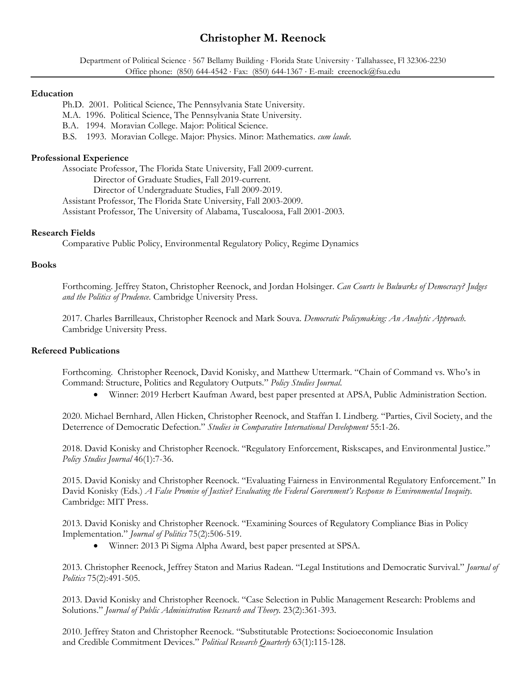# **Christopher M. Reenock**

Department of Political Science · 567 Bellamy Building · Florida State University · Tallahassee, Fl 32306-2230 Office phone: (850) 644-4542 Fax: (850) 644-1367 E-mail: creenock@fsu.edu

#### **Education**

Ph.D. 2001. Political Science, The Pennsylvania State University.

M.A. 1996. Political Science, The Pennsylvania State University.

B.A. 1994. Moravian College. Major: Political Science.

B.S. 1993. Moravian College. Major: Physics. Minor: Mathematics. *cum laude.* 

# **Professional Experience**

 Associate Professor, The Florida State University, Fall 2009-current. Director of Graduate Studies, Fall 2019-current. Director of Undergraduate Studies, Fall 2009-2019. Assistant Professor, The Florida State University, Fall 2003-2009. Assistant Professor, The University of Alabama, Tuscaloosa, Fall 2001-2003.

# **Research Fields**

Comparative Public Policy, Environmental Regulatory Policy, Regime Dynamics

# **Books**

Forthcoming. Jeffrey Staton, Christopher Reenock, and Jordan Holsinger. *Can Courts be Bulwarks of Democracy? Judges and the Politics of Prudence*. Cambridge University Press.

2017. Charles Barrilleaux, Christopher Reenock and Mark Souva. *Democratic Policymaking: An Analytic Approach.*  Cambridge University Press.

## **Refereed Publications**

Forthcoming. Christopher Reenock, David Konisky, and Matthew Uttermark. "Chain of Command vs. Who's in Command: Structure, Politics and Regulatory Outputs." *Policy Studies Journal*.

Winner: 2019 Herbert Kaufman Award, best paper presented at APSA, Public Administration Section.

2020. Michael Bernhard, Allen Hicken, Christopher Reenock, and Staffan I. Lindberg. "Parties, Civil Society, and the Deterrence of Democratic Defection." *Studies in Comparative International Development* 55:1-26.

2018. David Konisky and Christopher Reenock. "Regulatory Enforcement, Riskscapes, and Environmental Justice." *Policy Studies Journal* 46(1):7-36.

2015. David Konisky and Christopher Reenock. "Evaluating Fairness in Environmental Regulatory Enforcement." In David Konisky (Eds.) *A False Promise of Justice? Evaluating the Federal Government's Response to Environmental Inequity.* Cambridge: MIT Press.

2013. David Konisky and Christopher Reenock. "Examining Sources of Regulatory Compliance Bias in Policy Implementation." *Journal of Politics* 75(2):506-519.

Winner: 2013 Pi Sigma Alpha Award, best paper presented at SPSA.

2013. Christopher Reenock, Jeffrey Staton and Marius Radean. "Legal Institutions and Democratic Survival." *Journal of Politics* 75(2):491-505.

2013. David Konisky and Christopher Reenock. "Case Selection in Public Management Research: Problems and Solutions." *Journal of Public Administration Research and Theory.* 23(2):361-393.

2010. Jeffrey Staton and Christopher Reenock. "Substitutable Protections: Socioeconomic Insulation and Credible Commitment Devices." *Political Research Quarterly* 63(1):115-128.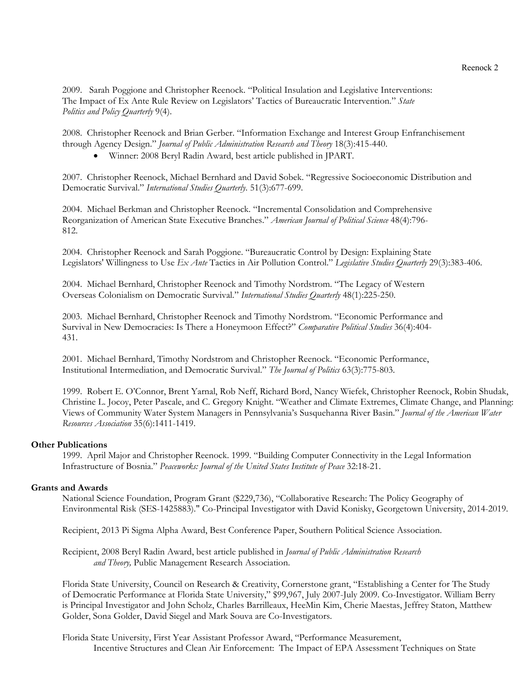2009. Sarah Poggione and Christopher Reenock. "Political Insulation and Legislative Interventions: The Impact of Ex Ante Rule Review on Legislators' Tactics of Bureaucratic Intervention." *State Politics and Policy Quarterly* 9(4).

2008. Christopher Reenock and Brian Gerber. "Information Exchange and Interest Group Enfranchisement through Agency Design." *Journal of Public Administration Research and Theory* 18(3):415-440.

Winner: 2008 Beryl Radin Award, best article published in JPART.

2007. Christopher Reenock, Michael Bernhard and David Sobek. "Regressive Socioeconomic Distribution and Democratic Survival." *International Studies Quarterly*. 51(3):677-699.

2004. Michael Berkman and Christopher Reenock. "Incremental Consolidation and Comprehensive Reorganization of American State Executive Branches." *American Journal of Political Science* 48(4):796- 812.

2004. Christopher Reenock and Sarah Poggione. "Bureaucratic Control by Design: Explaining State Legislators' Willingness to Use *Ex Ante* Tactics in Air Pollution Control." *Legislative Studies Quarterly* 29(3):383-406.

2004. Michael Bernhard, Christopher Reenock and Timothy Nordstrom. "The Legacy of Western Overseas Colonialism on Democratic Survival." *International Studies Quarterly* 48(1):225-250.

2003. Michael Bernhard, Christopher Reenock and Timothy Nordstrom. "Economic Performance and Survival in New Democracies: Is There a Honeymoon Effect?" *Comparative Political Studies* 36(4):404- 431.

2001. Michael Bernhard, Timothy Nordstrom and Christopher Reenock. "Economic Performance, Institutional Intermediation, and Democratic Survival." *The Journal of Politics* 63(3):775-803.

1999. Robert E. O'Connor, Brent Yarnal, Rob Neff, Richard Bord, Nancy Wiefek, Christopher Reenock, Robin Shudak, Christine L. Jocoy, Peter Pascale, and C. Gregory Knight. "Weather and Climate Extremes, Climate Change, and Planning: Views of Community Water System Managers in Pennsylvania's Susquehanna River Basin." *Journal of the American Water Resources Association* 35(6):1411-1419.

## **Other Publications**

1999. April Major and Christopher Reenock. 1999. "Building Computer Connectivity in the Legal Information Infrastructure of Bosnia." *Peaceworks: Journal of the United States Institute of Peace* 32:18-21.

## **Grants and Awards**

National Science Foundation, Program Grant (\$229,736), "Collaborative Research: The Policy Geography of Environmental Risk (SES-1425883)." Co-Principal Investigator with David Konisky, Georgetown University, 2014-2019.

Recipient, 2013 Pi Sigma Alpha Award, Best Conference Paper, Southern Political Science Association.

Recipient, 2008 Beryl Radin Award, best article published in *Journal of Public Administration Research and Theory,* Public Management Research Association.

Florida State University, Council on Research & Creativity, Cornerstone grant, "Establishing a Center for The Study of Democratic Performance at Florida State University," \$99,967, July 2007-July 2009. Co-Investigator. William Berry is Principal Investigator and John Scholz, Charles Barrilleaux, HeeMin Kim, Cherie Maestas, Jeffrey Staton, Matthew Golder, Sona Golder, David Siegel and Mark Souva are Co-Investigators.

Florida State University, First Year Assistant Professor Award, "Performance Measurement, Incentive Structures and Clean Air Enforcement: The Impact of EPA Assessment Techniques on State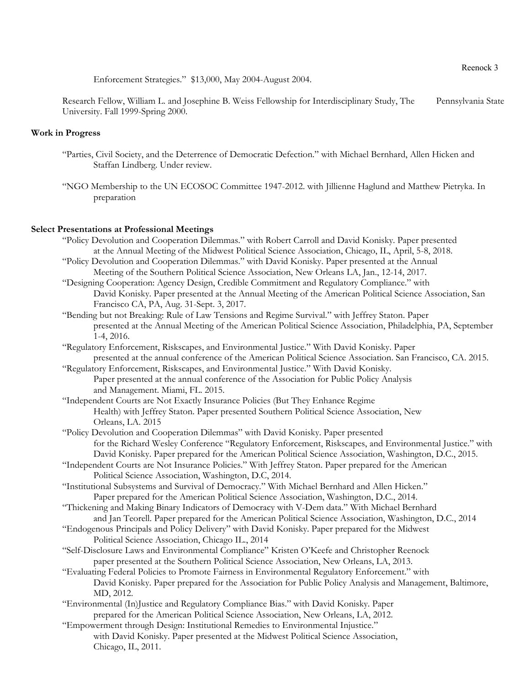Enforcement Strategies." \$13,000, May 2004-August 2004.

Research Fellow, William L. and Josephine B. Weiss Fellowship for Interdisciplinary Study, The Pennsylvania State University. Fall 1999-Spring 2000.

# **Work in Progress**

- "Parties, Civil Society, and the Deterrence of Democratic Defection." with Michael Bernhard, Allen Hicken and Staffan Lindberg. Under review.
- "NGO Membership to the UN ECOSOC Committee 1947-2012. with Jillienne Haglund and Matthew Pietryka. In preparation

# **Select Presentations at Professional Meetings**

- "Policy Devolution and Cooperation Dilemmas." with Robert Carroll and David Konisky. Paper presented at the Annual Meeting of the Midwest Political Science Association, Chicago, IL, April, 5-8, 2018.
- "Policy Devolution and Cooperation Dilemmas." with David Konisky. Paper presented at the Annual Meeting of the Southern Political Science Association, New Orleans LA, Jan., 12-14, 2017.
- "Designing Cooperation: Agency Design, Credible Commitment and Regulatory Compliance." with David Konisky. Paper presented at the Annual Meeting of the American Political Science Association, San Francisco CA, PA, Aug. 31-Sept. 3, 2017.
- "Bending but not Breaking: Rule of Law Tensions and Regime Survival." with Jeffrey Staton. Paper presented at the Annual Meeting of the American Political Science Association, Philadelphia, PA, September 1-4, 2016.
- "Regulatory Enforcement, Riskscapes, and Environmental Justice." With David Konisky. Paper presented at the annual conference of the American Political Science Association. San Francisco, CA. 2015.
- "Regulatory Enforcement, Riskscapes, and Environmental Justice." With David Konisky. Paper presented at the annual conference of the Association for Public Policy Analysis and Management. Miami, FL. 2015.
- "Independent Courts are Not Exactly Insurance Policies (But They Enhance Regime Health) with Jeffrey Staton. Paper presented Southern Political Science Association, New Orleans, LA. 2015
- "Policy Devolution and Cooperation Dilemmas" with David Konisky. Paper presented for the Richard Wesley Conference "Regulatory Enforcement, Riskscapes, and Environmental Justice." with David Konisky. Paper prepared for the American Political Science Association, Washington, D.C., 2015.
- "Independent Courts are Not Insurance Policies." With Jeffrey Staton. Paper prepared for the American Political Science Association, Washington, D.C, 2014.
- "Institutional Subsystems and Survival of Democracy." With Michael Bernhard and Allen Hicken." Paper prepared for the American Political Science Association, Washington, D.C., 2014.
- "Thickening and Making Binary Indicators of Democracy with V-Dem data." With Michael Bernhard
- and Jan Teorell. Paper prepared for the American Political Science Association, Washington, D.C., 2014
- "Endogenous Principals and Policy Delivery" with David Konisky. Paper prepared for the Midwest Political Science Association, Chicago IL., 2014
- "Self-Disclosure Laws and Environmental Compliance" Kristen O'Keefe and Christopher Reenock paper presented at the Southern Political Science Association, New Orleans, LA, 2013.
- "Evaluating Federal Policies to Promote Fairness in Environmental Regulatory Enforcement." with David Konisky. Paper prepared for the Association for Public Policy Analysis and Management, Baltimore, MD, 2012.
- "Environmental (In)Justice and Regulatory Compliance Bias." with David Konisky. Paper prepared for the American Political Science Association, New Orleans, LA, 2012.
- "Empowerment through Design: Institutional Remedies to Environmental Injustice." with David Konisky. Paper presented at the Midwest Political Science Association, Chicago, IL, 2011.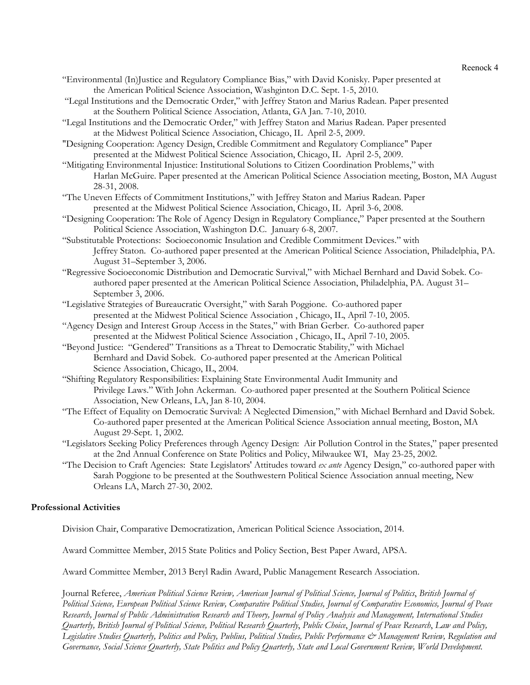Reenock 4

- "Environmental (In)Justice and Regulatory Compliance Bias," with David Konisky. Paper presented at the American Political Science Association, Washginton D.C. Sept. 1-5, 2010.
- "Legal Institutions and the Democratic Order," with Jeffrey Staton and Marius Radean. Paper presented at the Southern Political Science Association, Atlanta, GA Jan. 7-10, 2010.
- "Legal Institutions and the Democratic Order," with Jeffrey Staton and Marius Radean. Paper presented at the Midwest Political Science Association, Chicago, IL April 2-5, 2009.
- "Designing Cooperation: Agency Design, Credible Commitment and Regulatory Compliance" Paper presented at the Midwest Political Science Association, Chicago, IL April 2-5, 2009.
- "Mitigating Environmental Injustice: Institutional Solutions to Citizen Coordination Problems," with Harlan McGuire. Paper presented at the American Political Science Association meeting, Boston, MA August 28-31, 2008.
- "The Uneven Effects of Commitment Institutions," with Jeffrey Staton and Marius Radean. Paper presented at the Midwest Political Science Association, Chicago, IL April 3-6, 2008.
- "Designing Cooperation: The Role of Agency Design in Regulatory Compliance," Paper presented at the Southern Political Science Association, Washington D.C. January 6-8, 2007.
- "Substitutable Protections: Socioeconomic Insulation and Credible Commitment Devices." with Jeffrey Staton. Co-authored paper presented at the American Political Science Association, Philadelphia, PA. August 31–September 3, 2006.
- "Regressive Socioeconomic Distribution and Democratic Survival," with Michael Bernhard and David Sobek. Coauthored paper presented at the American Political Science Association, Philadelphia, PA. August 31– September 3, 2006.
- "Legislative Strategies of Bureaucratic Oversight," with Sarah Poggione. Co-authored paper presented at the Midwest Political Science Association , Chicago, IL, April 7-10, 2005.
- "Agency Design and Interest Group Access in the States," with Brian Gerber. Co-authored paper presented at the Midwest Political Science Association , Chicago, IL, April 7-10, 2005.
- "Beyond Justice: "Gendered" Transitions as a Threat to Democratic Stability," with Michael Bernhard and David Sobek. Co-authored paper presented at the American Political Science Association, Chicago, IL, 2004.
- "Shifting Regulatory Responsibilities: Explaining State Environmental Audit Immunity and Privilege Laws." With John Ackerman. Co-authored paper presented at the Southern Political Science Association, New Orleans, LA, Jan 8-10, 2004.
- "The Effect of Equality on Democratic Survival: A Neglected Dimension," with Michael Bernhard and David Sobek. Co-authored paper presented at the American Political Science Association annual meeting, Boston, MA August 29-Sept. 1, 2002.
- "Legislators Seeking Policy Preferences through Agency Design: Air Pollution Control in the States," paper presented at the 2nd Annual Conference on State Politics and Policy, Milwaukee WI, May 23-25, 2002.
- "The Decision to Craft Agencies: State Legislators' Attitudes toward *ex ante* Agency Design," co-authored paper with Sarah Poggione to be presented at the Southwestern Political Science Association annual meeting, New Orleans LA, March 27-30, 2002.

## **Professional Activities**

Division Chair, Comparative Democratization, American Political Science Association, 2014.

Award Committee Member, 2015 State Politics and Policy Section, Best Paper Award, APSA.

Award Committee Member, 2013 Beryl Radin Award, Public Management Research Association.

Journal Referee, *American Political Science Review, American Journal of Political Science, Journal of Politics*, *British Journal of Political Science, European Political Science Review, Comparative Political Studies, Journal of Comparative Economics, Journal of Peace Research, Journal of Public Administration Research and Theory, Journal of Policy Analysis and Management, International Studies Quarterly, British Journal of Political Science, Political Research Quarterly*, *Public Choice*, *Journal of Peace Research*, *Law and Policy,*  Legislative Studies Quarterly, Politics and Policy, Publius, Political Studies, Public Performance & Management Review, Regulation and *Governance, Social Science Quarterly, State Politics and Policy Quarterly, State and Local Government Review, World Development.*